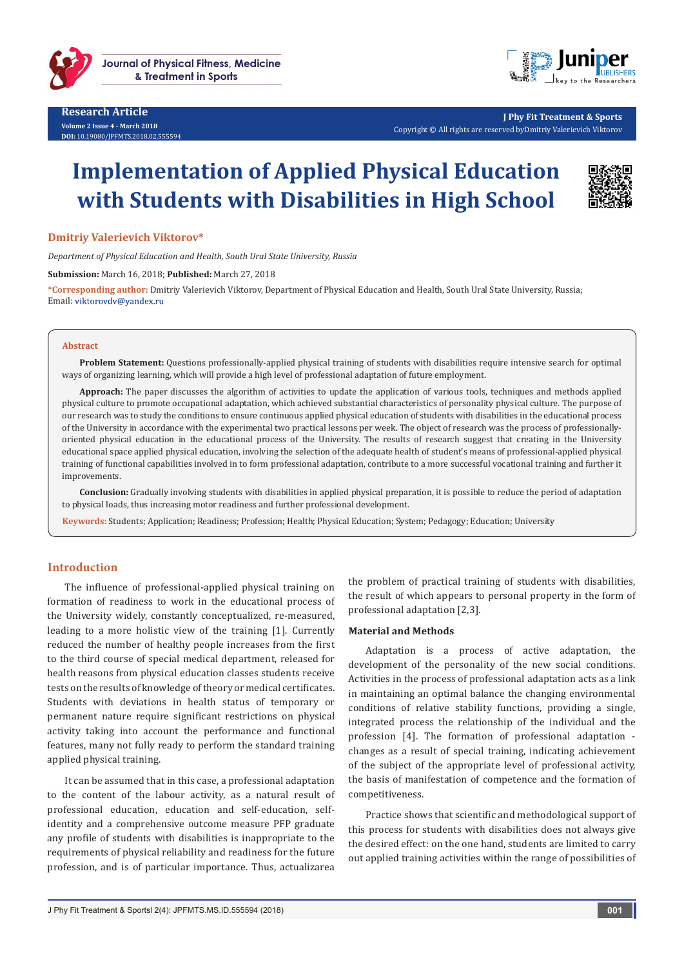



**J Phy Fit Treatment & Sports** Copyright © All rights are reserved byDmitriy Valerievich Viktorov

# **Implementation of Applied Physical Education with Students with Disabilities in High School**



**Dmitriy Valerievich Viktorov\***

*Department of Physical Education and Health, South Ural State University, Russia*

**Submission:** March 16, 2018; **Published:** March 27, 2018

**\*Corresponding author:** Dmitriy Valerievich Viktorov, Department of Physical Education and Health, South Ural State University, Russia; Email: viktorovdv@yandex.ru

#### **Abstract**

**Problem Statement:** Questions professionally-applied physical training of students with disabilities require intensive search for optimal ways of organizing learning, which will provide a high level of professional adaptation of future employment.

**Approach:** The paper discusses the algorithm of activities to update the application of various tools, techniques and methods applied physical culture to promote occupational adaptation, which achieved substantial characteristics of personality physical culture. The purpose of our research was to study the conditions to ensure continuous applied physical education of students with disabilities in the educational process of the University in accordance with the experimental two practical lessons per week. The object of research was the process of professionallyoriented physical education in the educational process of the University. The results of research suggest that creating in the University educational space applied physical education, involving the selection of the adequate health of student's means of professional-applied physical training of functional capabilities involved in to form professional adaptation, contribute to a more successful vocational training and further it improvements.

**Conclusion:** Gradually involving students with disabilities in applied physical preparation, it is possible to reduce the period of adaptation to physical loads, thus increasing motor readiness and further professional development.

**Keywords:** Students; Application; Readiness; Profession; Health; Physical Education; System; Pedagogy; Education; University

## **Introduction**

The influence of professional-applied physical training on formation of readiness to work in the educational process of the University widely, constantly conceptualized, re-measured, leading to a more holistic view of the training [1]. Currently reduced the number of healthy people increases from the first to the third course of special medical department, released for health reasons from physical education classes students receive tests on the results of knowledge of theory or medical certificates. Students with deviations in health status of temporary or permanent nature require significant restrictions on physical activity taking into account the performance and functional features, many not fully ready to perform the standard training applied physical training.

It can be assumed that in this case, a professional adaptation to the content of the labour activity, as a natural result of professional education, education and self-education, selfidentity and a comprehensive outcome measure PFP graduate any profile of students with disabilities is inappropriate to the requirements of physical reliability and readiness for the future profession, and is of particular importance. Thus, actualizarea

the problem of practical training of students with disabilities, the result of which appears to personal property in the form of professional adaptation [2,3].

#### **Material and Methods**

Adaptation is a process of active adaptation, the development of the personality of the new social conditions. Activities in the process of professional adaptation acts as a link in maintaining an optimal balance the changing environmental conditions of relative stability functions, providing a single, integrated process the relationship of the individual and the profession [4]. The formation of professional adaptation changes as a result of special training, indicating achievement of the subject of the appropriate level of professional activity, the basis of manifestation of competence and the formation of competitiveness.

Practice shows that scientific and methodological support of this process for students with disabilities does not always give the desired effect: on the one hand, students are limited to carry out applied training activities within the range of possibilities of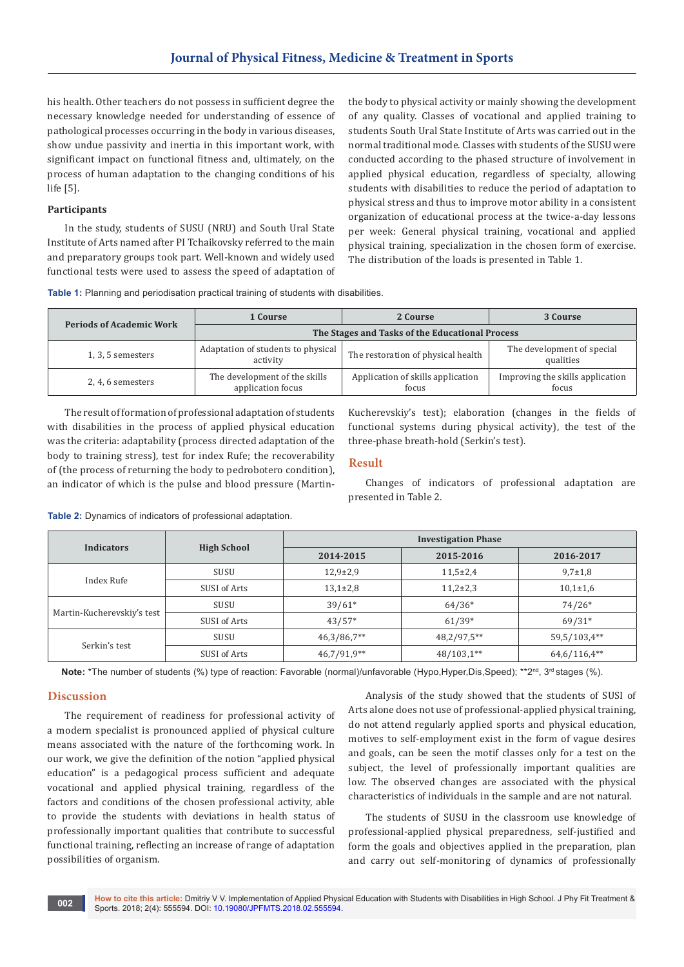his health. Other teachers do not possess in sufficient degree the necessary knowledge needed for understanding of essence of pathological processes occurring in the body in various diseases, show undue passivity and inertia in this important work, with significant impact on functional fitness and, ultimately, on the process of human adaptation to the changing conditions of his life [5].

## **Participants**

In the study, students of SUSU (NRU) and South Ural State Institute of Arts named after PI Tchaikovsky referred to the main and preparatory groups took part. Well-known and widely used functional tests were used to assess the speed of adaptation of the body to physical activity or mainly showing the development of any quality. Classes of vocational and applied training to students South Ural State Institute of Arts was carried out in the normal traditional mode. Classes with students of the SUSU were conducted according to the phased structure of involvement in applied physical education, regardless of specialty, allowing students with disabilities to reduce the period of adaptation to physical stress and thus to improve motor ability in a consistent organization of educational process at the twice-a-day lessons per week: General physical training, vocational and applied physical training, specialization in the chosen form of exercise. The distribution of the loads is presented in Table 1.

|  |  | <b>Table 1:</b> Planning and periodisation practical training of students with disabilities. |  |  |  |
|--|--|----------------------------------------------------------------------------------------------|--|--|--|
|  |  |                                                                                              |  |  |  |

| <b>Periods of Academic Work</b> | 1 Course                                           | 2 Course                                   | 3 Course                                  |  |  |  |
|---------------------------------|----------------------------------------------------|--------------------------------------------|-------------------------------------------|--|--|--|
|                                 | The Stages and Tasks of the Educational Process    |                                            |                                           |  |  |  |
| $1, 3, 5$ semesters             | Adaptation of students to physical<br>activity     | The restoration of physical health         | The development of special<br>qualities   |  |  |  |
| 2, 4, 6 semesters               | The development of the skills<br>application focus | Application of skills application<br>focus | Improving the skills application<br>focus |  |  |  |

The result of formation of professional adaptation of students with disabilities in the process of applied physical education was the criteria: adaptability (process directed adaptation of the body to training stress), test for index Rufe; the recoverability of (the process of returning the body to pedrobotero condition), an indicator of which is the pulse and blood pressure (MartinKucherevskiy's test); elaboration (changes in the fields of functional systems during physical activity), the test of the three-phase breath-hold (Serkin's test).

# **Result**

Changes of indicators of professional adaptation are presented in Table 2.

| <b>Indicators</b>          |                    | <b>Investigation Phase</b> |             |                |  |  |
|----------------------------|--------------------|----------------------------|-------------|----------------|--|--|
|                            | <b>High School</b> | 2014-2015                  | 2015-2016   | 2016-2017      |  |  |
| Index Rufe                 | SUSU               | $12,9{\pm}2,9$             | $11,5+2,4$  | $9,7 \pm 1,8$  |  |  |
|                            | SUSI of Arts       | $13,1\pm2,8$               | $11,2+2,3$  | $10,1{\pm}1,6$ |  |  |
|                            | SUSU               | $39/61*$                   | $64/36*$    | $74/26*$       |  |  |
| Martin-Kucherevskiy's test | SUSI of Arts       | $43/57*$                   | $61/39*$    | $69/31*$       |  |  |
|                            | SUSU               | $46,3/86,7**$              | 48,2/97,5** | 59,5/103,4**   |  |  |
| Serkin's test              | SUSI of Arts       | $46,7/91,9**$              | 48/103,1**  | $64,6/116,4**$ |  |  |

**Table 2:** Dynamics of indicators of professional adaptation.

Note: \*The number of students (%) type of reaction: Favorable (normal)/unfavorable (Hypo,Hyper,Dis,Speed); \*\*2<sup>nd</sup>, 3<sup>rd</sup> stages (%).

# **Discussion**

The requirement of readiness for professional activity of a modern specialist is pronounced applied of physical culture means associated with the nature of the forthcoming work. In our work, we give the definition of the notion "applied physical education" is a pedagogical process sufficient and adequate vocational and applied physical training, regardless of the factors and conditions of the chosen professional activity, able to provide the students with deviations in health status of professionally important qualities that contribute to successful functional training, reflecting an increase of range of adaptation possibilities of organism.

Analysis of the study showed that the students of SUSI of Arts alone does not use of professional-applied physical training, do not attend regularly applied sports and physical education, motives to self-employment exist in the form of vague desires and goals, can be seen the motif classes only for a test on the subject, the level of professionally important qualities are low. The observed changes are associated with the physical characteristics of individuals in the sample and are not natural.

The students of SUSU in the classroom use knowledge of professional-applied physical preparedness, self-justified and form the goals and objectives applied in the preparation, plan and carry out self-monitoring of dynamics of professionally